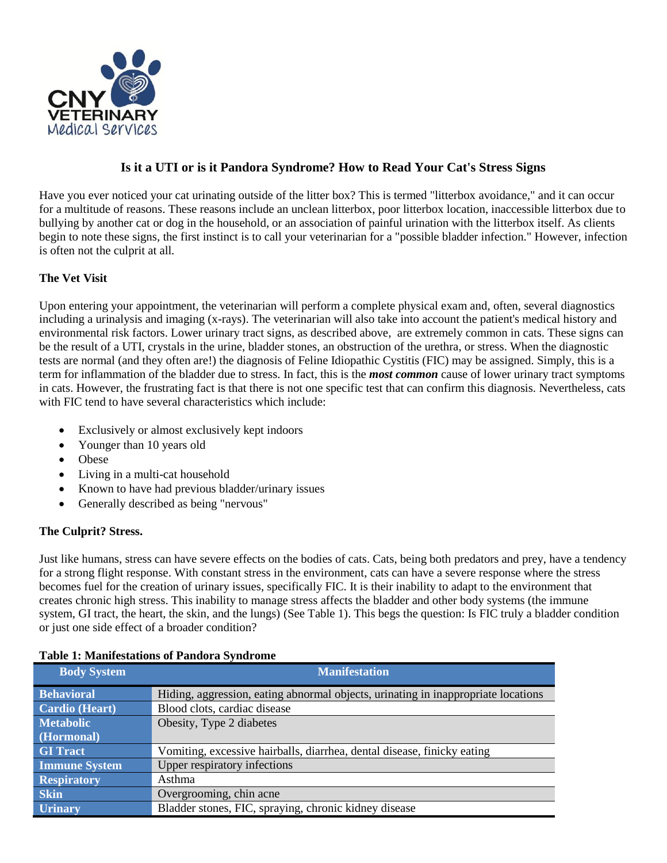

# **Is it a UTI or is it Pandora Syndrome? How to Read Your Cat's Stress Signs**

Have you ever noticed your cat urinating outside of the litter box? This is termed "litterbox avoidance," and it can occur for a multitude of reasons. These reasons include an unclean litterbox, poor litterbox location, inaccessible litterbox due to bullying by another cat or dog in the household, or an association of painful urination with the litterbox itself. As clients begin to note these signs, the first instinct is to call your veterinarian for a "possible bladder infection." However, infection is often not the culprit at all.

## **The Vet Visit**

Upon entering your appointment, the veterinarian will perform a complete physical exam and, often, several diagnostics including a urinalysis and imaging (x-rays). The veterinarian will also take into account the patient's medical history and environmental risk factors. Lower urinary tract signs, as described above, are extremely common in cats. These signs can be the result of a UTI, crystals in the urine, bladder stones, an obstruction of the urethra, or stress. When the diagnostic tests are normal (and they often are!) the diagnosis of Feline Idiopathic Cystitis (FIC) may be assigned. Simply, this is a term for inflammation of the bladder due to stress. In fact, this is the *most common* cause of lower urinary tract symptoms in cats. However, the frustrating fact is that there is not one specific test that can confirm this diagnosis. Nevertheless, cats with FIC tend to have several characteristics which include:

- Exclusively or almost exclusively kept indoors
- Younger than 10 years old
- Obese
- Living in a multi-cat household
- Known to have had previous bladder/urinary issues
- Generally described as being "nervous"

## **The Culprit? Stress.**

Just like humans, stress can have severe effects on the bodies of cats. Cats, being both predators and prey, have a tendency for a strong flight response. With constant stress in the environment, cats can have a severe response where the stress becomes fuel for the creation of urinary issues, specifically FIC. It is their inability to adapt to the environment that creates chronic high stress. This inability to manage stress affects the bladder and other body systems (the immune system, GI tract, the heart, the skin, and the lungs) (See Table 1). This begs the question: Is FIC truly a bladder condition or just one side effect of a broader condition?

| <b>Body System</b>    | <b>Manifestation</b>                                                              |
|-----------------------|-----------------------------------------------------------------------------------|
| <b>Behavioral</b>     | Hiding, aggression, eating abnormal objects, urinating in inappropriate locations |
| <b>Cardio</b> (Heart) | Blood clots, cardiac disease                                                      |
| <b>Metabolic</b>      | Obesity, Type 2 diabetes                                                          |
| (Hormonal)            |                                                                                   |
| <b>GI</b> Tract       | Vomiting, excessive hairballs, diarrhea, dental disease, finicky eating           |
| <b>Immune System</b>  | Upper respiratory infections                                                      |
| <b>Respiratory</b>    | Asthma                                                                            |
| <b>Skin</b>           | Overgrooming, chin acne                                                           |
| <b>Urinary</b>        | Bladder stones, FIC, spraying, chronic kidney disease                             |

#### **Table 1: Manifestations of Pandora Syndrome**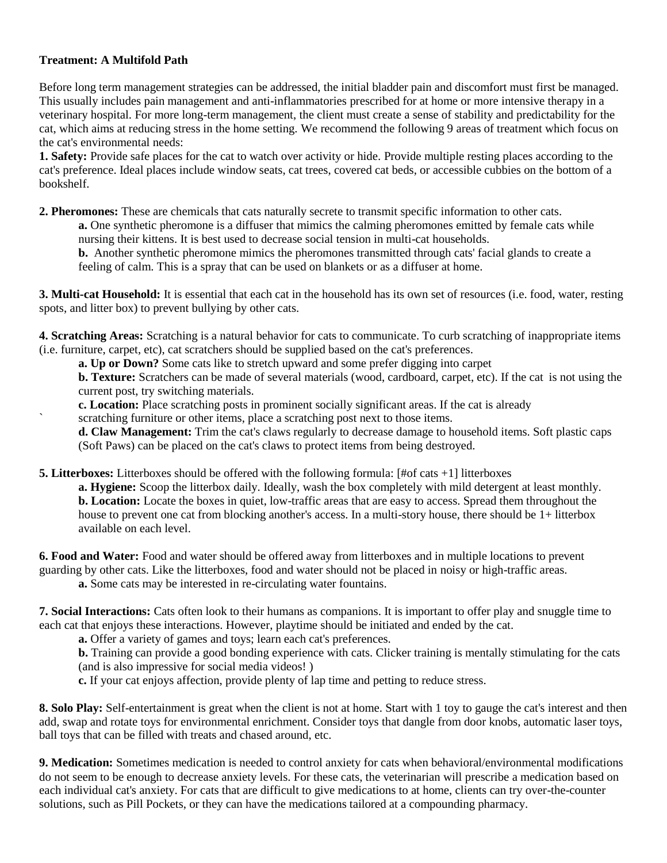### **Treatment: A Multifold Path**

Before long term management strategies can be addressed, the initial bladder pain and discomfort must first be managed. This usually includes pain management and anti-inflammatories prescribed for at home or more intensive therapy in a veterinary hospital. For more long-term management, the client must create a sense of stability and predictability for the cat, which aims at reducing stress in the home setting. We recommend the following 9 areas of treatment which focus on the cat's environmental needs:

**1. Safety:** Provide safe places for the cat to watch over activity or hide. Provide multiple resting places according to the cat's preference. Ideal places include window seats, cat trees, covered cat beds, or accessible cubbies on the bottom of a bookshelf.

**2. Pheromones:** These are chemicals that cats naturally secrete to transmit specific information to other cats. **a.** One synthetic pheromone is a diffuser that mimics the calming pheromones emitted by female cats while nursing their kittens. It is best used to decrease social tension in multi-cat households.

**b.** Another synthetic pheromone mimics the pheromones transmitted through cats' facial glands to create a feeling of calm. This is a spray that can be used on blankets or as a diffuser at home.

**3. Multi-cat Household:** It is essential that each cat in the household has its own set of resources (i.e. food, water, resting spots, and litter box) to prevent bullying by other cats.

**4. Scratching Areas:** Scratching is a natural behavior for cats to communicate. To curb scratching of inappropriate items (i.e. furniture, carpet, etc), cat scratchers should be supplied based on the cat's preferences.

**a. Up or Down?** Some cats like to stretch upward and some prefer digging into carpet

**b. Texture:** Scratchers can be made of several materials (wood, cardboard, carpet, etc). If the cat is not using the current post, try switching materials.

**c. Location:** Place scratching posts in prominent socially significant areas. If the cat is already

scratching furniture or other items, place a scratching post next to those items.

**d. Claw Management:** Trim the cat's claws regularly to decrease damage to household items. Soft plastic caps (Soft Paws) can be placed on the cat's claws to protect items from being destroyed.

**5. Litterboxes:** Litterboxes should be offered with the following formula: [#of cats +1] litterboxes

**a. Hygiene:** Scoop the litterbox daily. Ideally, wash the box completely with mild detergent at least monthly. **b. Location:** Locate the boxes in quiet, low-traffic areas that are easy to access. Spread them throughout the house to prevent one cat from blocking another's access. In a multi-story house, there should be 1+ litterbox available on each level.

**6. Food and Water:** Food and water should be offered away from litterboxes and in multiple locations to prevent guarding by other cats. Like the litterboxes, food and water should not be placed in noisy or high-traffic areas.

**a.** Some cats may be interested in re-circulating water fountains.

**7. Social Interactions:** Cats often look to their humans as companions. It is important to offer play and snuggle time to each cat that enjoys these interactions. However, playtime should be initiated and ended by the cat.

**a.** Offer a variety of games and toys; learn each cat's preferences.

**b.** Training can provide a good bonding experience with cats. Clicker training is mentally stimulating for the cats (and is also impressive for social media videos! )

**c.** If your cat enjoys affection, provide plenty of lap time and petting to reduce stress.

**8. Solo Play:** Self-entertainment is great when the client is not at home. Start with 1 toy to gauge the cat's interest and then add, swap and rotate toys for environmental enrichment. Consider toys that dangle from door knobs, automatic laser toys, ball toys that can be filled with treats and chased around, etc.

**9. Medication:** Sometimes medication is needed to control anxiety for cats when behavioral/environmental modifications do not seem to be enough to decrease anxiety levels. For these cats, the veterinarian will prescribe a medication based on each individual cat's anxiety. For cats that are difficult to give medications to at home, clients can try over-the-counter solutions, such as Pill Pockets, or they can have the medications tailored at a compounding pharmacy.